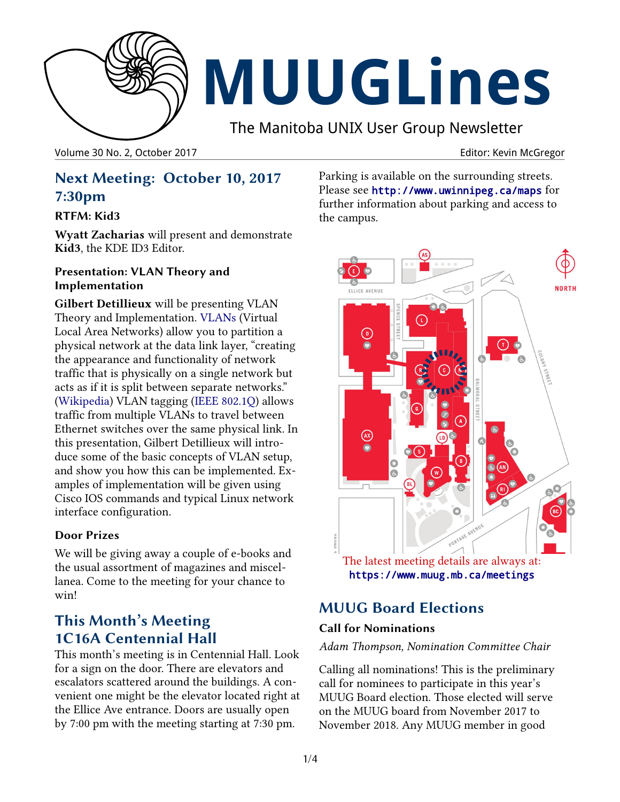

# **MUUGLines**

The Manitoba UNIX User Group Newsletter

Volume 30 No. 2, October 2017 **Editor: Kevin McGregor** Editor: Kevin McGregor

## **Next Meeting: October 10, 2017 7:30pm**

#### **RTFM: Kid3**

**Wyatt Zacharias** will present and demonstrate **Kid3**, the KDE ID3 Editor.

#### **Presentation: VLAN Theory and Implementation**

**Gilbert Detillieux** will be presenting VLAN Theory and Implementation. [VLANs](https://en.wikipedia.org/wiki/Virtual_LAN) (Virtual Local Area Networks) allow you to partition a physical network at the data link layer, "creating the appearance and functionality of network traffic that is physically on a single network but acts as if it is split between separate networks." [\(Wikipedia\)](https://en.wikipedia.org/wiki/Virtual_LAN) VLAN tagging [\(IEEE 802.1Q\)](https://en.wikipedia.org/wiki/IEEE_802.1Q) allows traffic from multiple VLANs to travel between Ethernet switches over the same physical link. In this presentation, Gilbert Detillieux will introduce some of the basic concepts of VLAN setup, and show you how this can be implemented. Examples of implementation will be given using Cisco IOS commands and typical Linux network interface configuration.

#### **Door Prizes**

We will be giving away a couple of e-books and the usual assortment of magazines and miscellanea. Come to the meeting for your chance to win!

# **This Month's Meeting 1C16A Centennial Hall**

This month's meeting is in Centennial Hall. Look for a sign on the door. There are elevators and escalators scattered around the buildings. A convenient one might be the elevator located right at the Ellice Ave entrance. Doors are usually open by 7:00 pm with the meeting starting at 7:30 pm.

Parking is available on the surrounding streets. Please see <http://www.uwinnipeg.ca/maps> for further information about parking and access to the campus.



<https://www.muug.mb.ca/meetings>

# **MUUG Board Elections**

#### **Call for Nominations**

#### *Adam Thompson, Nomination Committee Chair*

Calling all nominations! This is the preliminary call for nominees to participate in this year's MUUG Board election. Those elected will serve on the MUUG board from November 2017 to November 2018. Any MUUG member in good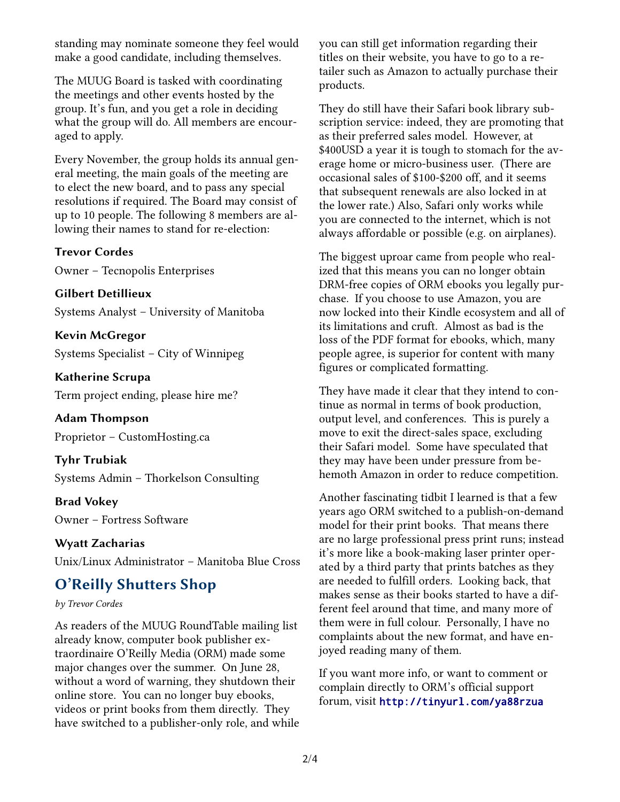standing may nominate someone they feel would make a good candidate, including themselves.

The MUUG Board is tasked with coordinating the meetings and other events hosted by the group. It's fun, and you get a role in deciding what the group will do. All members are encouraged to apply.

Every November, the group holds its annual general meeting, the main goals of the meeting are to elect the new board, and to pass any special resolutions if required. The Board may consist of up to 10 people. The following 8 members are allowing their names to stand for re-election:

#### **Trevor Cordes**

Owner – Tecnopolis Enterprises

**Gilbert Detillieux**

Systems Analyst – University of Manitoba

**Kevin McGregor** Systems Specialist – City of Winnipeg

**Katherine Scrupa** Term project ending, please hire me?

**Adam Thompson** Proprietor – CustomHosting.ca

**Tyhr Trubiak** Systems Admin – Thorkelson Consulting

**Brad Vokey** Owner – Fortress Software

**Wyatt Zacharias** Unix/Linux Administrator – Manitoba Blue Cross

## **O'Reilly Shutters Shop**

#### *by Trevor Cordes*

As readers of the MUUG RoundTable mailing list already know, computer book publisher extraordinaire O'Reilly Media (ORM) made some major changes over the summer. On June 28, without a word of warning, they shutdown their online store. You can no longer buy ebooks, videos or print books from them directly. They have switched to a publisher-only role, and while you can still get information regarding their titles on their website, you have to go to a retailer such as Amazon to actually purchase their products.

They do still have their Safari book library subscription service: indeed, they are promoting that as their preferred sales model. However, at \$400USD a year it is tough to stomach for the average home or micro-business user. (There are occasional sales of \$100-\$200 off, and it seems that subsequent renewals are also locked in at the lower rate.) Also, Safari only works while you are connected to the internet, which is not always affordable or possible (e.g. on airplanes).

The biggest uproar came from people who realized that this means you can no longer obtain DRM-free copies of ORM ebooks you legally purchase. If you choose to use Amazon, you are now locked into their Kindle ecosystem and all of its limitations and cruft. Almost as bad is the loss of the PDF format for ebooks, which, many people agree, is superior for content with many figures or complicated formatting.

They have made it clear that they intend to continue as normal in terms of book production, output level, and conferences. This is purely a move to exit the direct-sales space, excluding their Safari model. Some have speculated that they may have been under pressure from behemoth Amazon in order to reduce competition.

Another fascinating tidbit I learned is that a few years ago ORM switched to a publish-on-demand model for their print books. That means there are no large professional press print runs; instead it's more like a book-making laser printer operated by a third party that prints batches as they are needed to fulfill orders. Looking back, that makes sense as their books started to have a different feel around that time, and many more of them were in full colour. Personally, I have no complaints about the new format, and have enjoyed reading many of them.

If you want more info, or want to comment or complain directly to ORM's official support forum, visit <http://tinyurl.com/ya88rzua>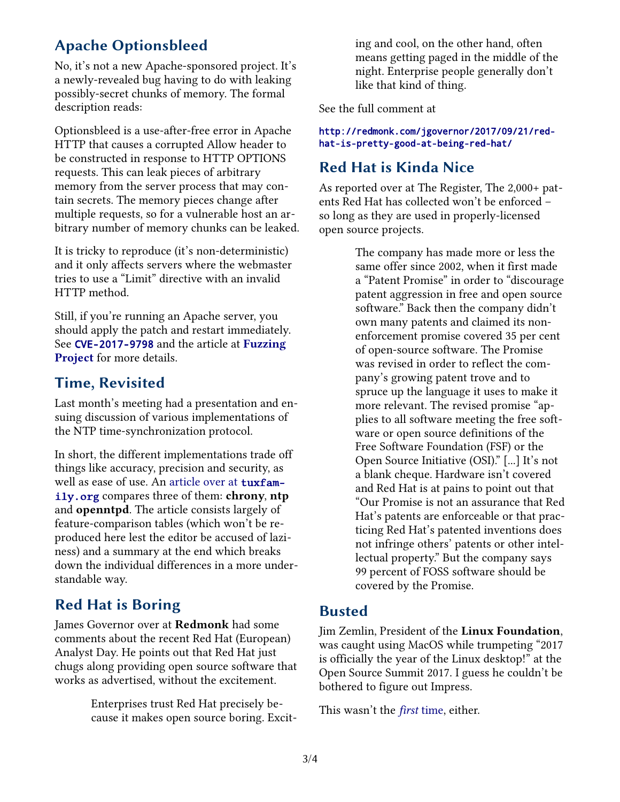# **Apache Optionsbleed**

No, it's not a new Apache-sponsored project. It's a newly-revealed bug having to do with leaking possibly-secret chunks of memory. The formal description reads:

Optionsbleed is a use-after-free error in Apache HTTP that causes a corrupted Allow header to be constructed in response to HTTP OPTIONS requests. This can leak pieces of arbitrary memory from the server process that may contain secrets. The memory pieces change after multiple requests, so for a vulnerable host an arbitrary number of memory chunks can be leaked.

It is tricky to reproduce (it's non-deterministic) and it only affects servers where the webmaster tries to use a "Limit" directive with an invalid HTTP method.

Still, if you're running an Apache server, you should apply the patch and restart immediately. See [CVE-2017-9798](https://nvd.nist.gov/vuln/detail/CVE-2017-9798) and the article at **[Fuzzing](https://blog.fuzzing-project.org/60-Optionsbleed-HTTP-OPTIONS-method-can-leak-Apaches-server-memory.html)  [Project](https://blog.fuzzing-project.org/60-Optionsbleed-HTTP-OPTIONS-method-can-leak-Apaches-server-memory.html)** for more details.

# **Time, Revisited**

Last month's meeting had a presentation and ensuing discussion of various implementations of the NTP time-synchronization protocol.

In short, the different implementations trade off things like accuracy, precision and security, as well as ease of use. An [article over at](https://chrony.tuxfamily.org/comparison.html) [tuxfam](https://chrony.tuxfamily.org/comparison.html)[ily.org](https://chrony.tuxfamily.org/comparison.html) compares three of them: **chrony**, **ntp** and **openntpd**. The article consists largely of feature-comparison tables (which won't be reproduced here lest the editor be accused of laziness) and a summary at the end which breaks down the individual differences in a more understandable way.

## **Red Hat is Boring**

James Governor over at **Redmonk** had some comments about the recent Red Hat (European) Analyst Day. He points out that Red Hat just chugs along providing open source software that works as advertised, without the excitement.

> Enterprises trust Red Hat precisely because it makes open source boring. Excit

ing and cool, on the other hand, often means getting paged in the middle of the night. Enterprise people generally don't like that kind of thing.

See the full comment at

[http://redmonk.com/jgovernor/2017/09/21/red](http://redmonk.com/jgovernor/2017/09/21/red-hat-is-pretty-good-at-being-red-hat/)[hat-is-pretty-good-at-being-red-hat/](http://redmonk.com/jgovernor/2017/09/21/red-hat-is-pretty-good-at-being-red-hat/)

### **Red Hat is Kinda Nice**

As reported over at The Register, The 2,000+ patents Red Hat has collected won't be enforced – so long as they are used in properly-licensed open source projects.

> The company has made more or less the same offer since 2002, when it first made a "Patent Promise" in order to "discourage patent aggression in free and open source software." Back then the company didn't own many patents and claimed its nonenforcement promise covered 35 per cent of open-source software. The Promise was revised in order to reflect the company's growing patent trove and to spruce up the language it uses to make it more relevant. The revised promise "applies to all software meeting the free software or open source definitions of the Free Software Foundation (FSF) or the Open Source Initiative (OSI)." [...] It's not a blank cheque. Hardware isn't covered and Red Hat is at pains to point out that "Our Promise is not an assurance that Red Hat's patents are enforceable or that practicing Red Hat's patented inventions does not infringe others' patents or other intellectual property." But the company says 99 percent of FOSS software should be covered by the Promise.

#### **Busted**

Jim Zemlin, President of the **Linux Foundation**, was caught using MacOS while trumpeting "2017 is officially the year of the Linux desktop!" at the Open Source Summit 2017. I guess he couldn't be bothered to figure out Impress.

This wasn't the *[first](https://twitter.com/mjg59/status/907000812131385344)* [time,](https://twitter.com/mjg59/status/907000812131385344) either.